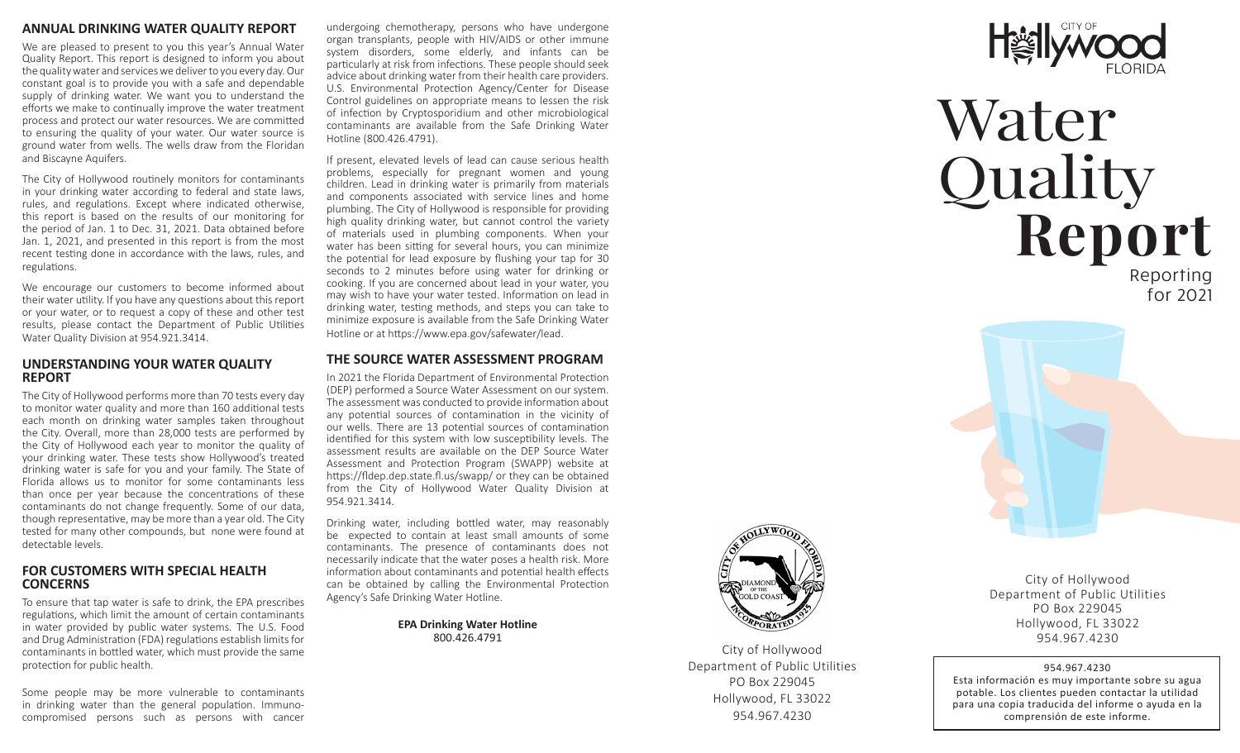# **ANNUAL DRINKING WATER QUALITY REPORT**

We are pleased to present to you this year's Annual Water Quality Report. This report is designed to inform you about the quality water and services we deliver to you every day. Our constant goal is to provide you with a safe and dependable supply of drinking water. We want you to understand the efforts we make to continually improve the water treatment process and protect our water resources. We are committed to ensuring the quality of your water. Our water source is ground water from wells. The wells draw from the Floridan and Biscayne Aquifers.

The City of Hollywood routinely monitors for contaminants in your drinking water according to federal and state laws, rules, and regulations. Except where indicated otherwise, this report is based on the results of our monitoring for the period of Jan. 1 to Dec. 31, 2021. Data obtained before Jan. 1, 2021, and presented in this report is from the most recent testing done in accordance with the laws, rules, and regulations.

We encourage our customers to become informed about their water utility. If you have any questions about this report or your water, or to request a copy of these and other test results, please contact the Department of Public Utilities Water Quality Division at 954.921.3414.

# **UNDERSTANDING YOUR WATER QUALITY REPORT**

The City of Hollywood performs more than 70 tests every day to monitor water quality and more than 160 additional tests each month on drinking water samples taken throughout the City. Overall, more than 28,000 tests are performed by the City of Hollywood each year to monitor the quality of your drinking water. These tests show Hollywood's treated drinking water is safe for you and your family. The State of Florida allows us to monitor for some contaminants less than once per year because the concentrations of these contaminants do not change frequently. Some of our data, though representative, may be more than a year old. The City tested for many other compounds, but none were found at detectable levels.

# **FOR CUSTOMERS WITH SPECIAL HEALTH CONCERNS**

To ensure that tap water is safe to drink, the EPA prescribes regulations, which limit the amount of certain contaminants in water provided by public water systems. The U.S. Food and Drug Administration (FDA) regulations establish limits for contaminants in bottled water, which must provide the same protection for public health.

Some people may be more vulnerable to contaminants in drinking water than the general population. Immunocompromised persons such as persons with cancer

undergoing chemotherapy, persons who have undergone organ transplants, people with HIV/AIDS or other immune system disorders, some elderly, and infants can be particularly at risk from infections. These people should seek advice about drinking water from their health care providers. U.S. Environmental Protection Agency/Center for Disease Control guidelines on appropriate means to lessen the risk of infection by Cryptosporidium and other microbiological contaminants are available from the Safe Drinking Water Hotline (800.426.4791).

If present, elevated levels of lead can cause serious health problems, especially for pregnant women and young children. Lead in drinking water is primarily from materials and components associated with service lines and home plumbing. The City of Hollywood is responsible for providing high quality drinking water, but cannot control the variety of materials used in plumbing components. When your water has been sitting for several hours, you can minimize the potential for lead exposure by flushing your tap for 30 seconds to 2 minutes before using water for drinking or cooking. If you are concerned about lead in your water, you may wish to have your water tested. Information on lead in drinking water, testing methods, and steps you can take to minimize exposure is available from the Safe Drinking Water Hotline or at https://www.epa.gov/safewater/lead.

# **THE SOURCE WATER ASSESSMENT PROGRAM**

In 2021 the Florida Department of Environmental Protection (DEP) performed a Source Water Assessment on our system. The assessment was conducted to provide information about any potential sources of contamination in the vicinity of our wells. There are 13 potential sources of contamination identified for this system with low susceptibility levels. The assessment results are available on the DEP Source Water Assessment and Protection Program (SWAPP) website at https://fldep.dep.state.fl.us/swapp/ or they can be obtained from the City of Hollywood Water Quality Division at 954.921.3414.

Drinking water, including bottled water, may reasonably be expected to contain at least small amounts of some contaminants. The presence of contaminants does not necessarily indicate that the water poses a health risk. More information about contaminants and potential health effects can be obtained by calling the Environmental Protection Agency's Safe Drinking Water Hotline.

> **EPA Drinking Water Hotline** 800.426.4791



# Water Quality **Report**

Reporting for 2021



City of Hollywood Department of Public Utilities PO Box 229045 Hollywood, FL 33022 954.967.4230



City of Hollywood Department of Public Utilities PO Box 229045 Hollywood, FL 33022 954.967.4230

# 954.967.4230

Esta información es muy importante sobre su agua potable. Los clientes pueden contactar la utilidad para una copia traducida del informe o ayuda en la comprensión de este informe.